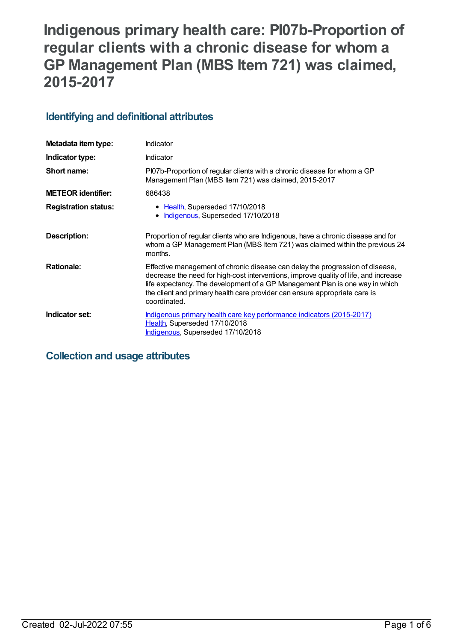# **Indigenous primary health care: PI07b-Proportion of regular clients with a chronic disease for whom a GP Management Plan (MBS Item 721) was claimed, 2015-2017**

## **Identifying and definitional attributes**

| Metadata item type:         | Indicator                                                                                                                                                                                                                                                                                                                                           |
|-----------------------------|-----------------------------------------------------------------------------------------------------------------------------------------------------------------------------------------------------------------------------------------------------------------------------------------------------------------------------------------------------|
| Indicator type:             | Indicator                                                                                                                                                                                                                                                                                                                                           |
| Short name:                 | PI07b-Proportion of regular clients with a chronic disease for whom a GP<br>Management Plan (MBS Item 721) was claimed, 2015-2017                                                                                                                                                                                                                   |
| <b>METEOR identifier:</b>   | 686438                                                                                                                                                                                                                                                                                                                                              |
| <b>Registration status:</b> | • Health, Superseded 17/10/2018<br>Indigenous, Superseded 17/10/2018                                                                                                                                                                                                                                                                                |
| Description:                | Proportion of regular clients who are Indigenous, have a chronic disease and for<br>whom a GP Management Plan (MBS Item 721) was claimed within the previous 24<br>months.                                                                                                                                                                          |
| <b>Rationale:</b>           | Effective management of chronic disease can delay the progression of disease,<br>decrease the need for high-cost interventions, improve quality of life, and increase<br>life expectancy. The development of a GP Management Plan is one way in which<br>the client and primary health care provider can ensure appropriate care is<br>coordinated. |
| Indicator set:              | Indigenous primary health care key performance indicators (2015-2017)<br>Health, Superseded 17/10/2018<br>Indigenous, Superseded 17/10/2018                                                                                                                                                                                                         |

## **Collection and usage attributes**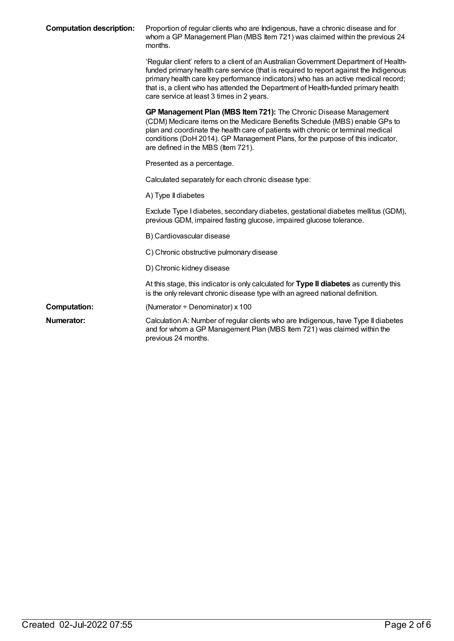| <b>Computation description:</b> | Proportion of regular clients who are Indigenous, have a chronic disease and for<br>whom a GP Management Plan (MBS Item 721) was claimed within the previous 24<br>months.                                                                                                                                                                                                                            |
|---------------------------------|-------------------------------------------------------------------------------------------------------------------------------------------------------------------------------------------------------------------------------------------------------------------------------------------------------------------------------------------------------------------------------------------------------|
|                                 | 'Regular client' refers to a client of an Australian Government Department of Health-<br>funded primary health care service (that is required to report against the Indigenous<br>primary health care key performance indicators) who has an active medical record;<br>that is, a client who has attended the Department of Health-funded primary health<br>care service at least 3 times in 2 years. |
|                                 | GP Management Plan (MBS Item 721): The Chronic Disease Management<br>(CDM) Medicare items on the Medicare Benefits Schedule (MBS) enable GPs to<br>plan and coordinate the health care of patients with chronic or terminal medical<br>conditions (DoH 2014). GP Management Plans, for the purpose of this indicator,<br>are defined in the MBS (Item 721).                                           |
|                                 | Presented as a percentage.                                                                                                                                                                                                                                                                                                                                                                            |
|                                 | Calculated separately for each chronic disease type:                                                                                                                                                                                                                                                                                                                                                  |
|                                 | A) Type II diabetes                                                                                                                                                                                                                                                                                                                                                                                   |
|                                 | Exclude Type I diabetes, secondary diabetes, gestational diabetes mellitus (GDM),<br>previous GDM, impaired fasting glucose, impaired glucose tolerance.                                                                                                                                                                                                                                              |
|                                 | B) Cardiovascular disease                                                                                                                                                                                                                                                                                                                                                                             |
|                                 | C) Chronic obstructive pulmonary disease                                                                                                                                                                                                                                                                                                                                                              |
|                                 | D) Chronic kidney disease                                                                                                                                                                                                                                                                                                                                                                             |
|                                 | At this stage, this indicator is only calculated for Type II diabetes as currently this<br>is the only relevant chronic disease type with an agreed national definition.                                                                                                                                                                                                                              |
| <b>Computation:</b>             | (Numerator + Denominator) x 100                                                                                                                                                                                                                                                                                                                                                                       |
| Numerator:                      | Calculation A: Number of regular clients who are Indigenous, have Type II diabetes<br>and for whom a GP Management Plan (MBS Item 721) was claimed within the<br>previous 24 months.                                                                                                                                                                                                                  |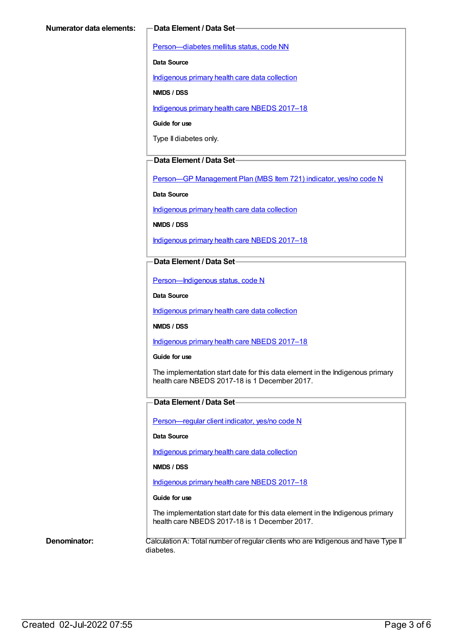[Person—diabetes](https://meteor.aihw.gov.au/content/270194) mellitus status, code NN

**Data Source**

[Indigenous](https://meteor.aihw.gov.au/content/430643) primary health care data collection

**NMDS / DSS**

[Indigenous](https://meteor.aihw.gov.au/content/686603) primary health care NBEDS 2017–18

**Guide for use**

Type II diabetes only.

#### **Data Element / Data Set**

Person-GP [Management](https://meteor.aihw.gov.au/content/504966) Plan (MBS Item 721) indicator, yes/no code N

**Data Source**

[Indigenous](https://meteor.aihw.gov.au/content/430643) primary health care data collection

**NMDS / DSS**

[Indigenous](https://meteor.aihw.gov.au/content/686603) primary health care NBEDS 2017–18

#### **Data Element / Data Set**

[Person—Indigenous](https://meteor.aihw.gov.au/content/602543) status, code N

**Data Source**

[Indigenous](https://meteor.aihw.gov.au/content/430643) primary health care data collection

**NMDS / DSS**

[Indigenous](https://meteor.aihw.gov.au/content/686603) primary health care NBEDS 2017–18

**Guide for use**

The implementation start date for this data element in the Indigenous primary health care NBEDS 2017-18 is 1 December 2017.

#### **Data Element / Data Set**

[Person—regular](https://meteor.aihw.gov.au/content/686291) client indicator, yes/no code N

**Data Source**

[Indigenous](https://meteor.aihw.gov.au/content/430643) primary health care data collection

**NMDS / DSS**

[Indigenous](https://meteor.aihw.gov.au/content/686603) primary health care NBEDS 2017–18

#### **Guide for use**

The implementation start date for this data element in the Indigenous primary health care NBEDS 2017-18 is 1 December 2017.

**Denominator:** Calculation A: Total number of regular clients who are Indigenous and have Type II diabetes.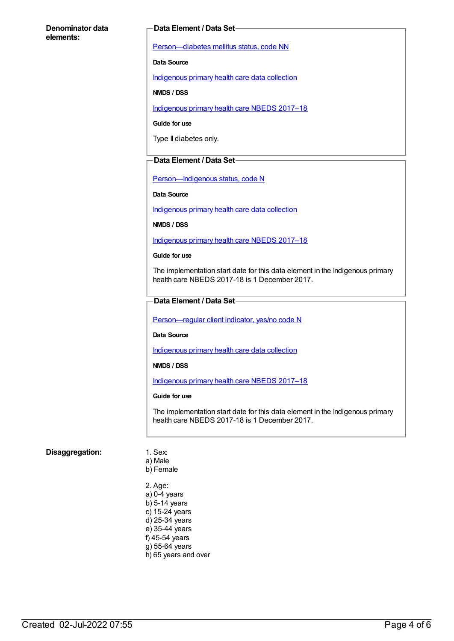#### **Denominator data elements:**

#### **Data Element / Data Set**

[Person—diabetes](https://meteor.aihw.gov.au/content/270194) mellitus status, code NN

**Data Source**

[Indigenous](https://meteor.aihw.gov.au/content/430643) primary health care data collection

**NMDS / DSS**

[Indigenous](https://meteor.aihw.gov.au/content/686603) primary health care NBEDS 2017–18

**Guide for use**

Type II diabetes only.

#### **Data Element / Data Set**

[Person—Indigenous](https://meteor.aihw.gov.au/content/602543) status, code N

**Data Source**

[Indigenous](https://meteor.aihw.gov.au/content/430643) primary health care data collection

**NMDS / DSS**

[Indigenous](https://meteor.aihw.gov.au/content/686603) primary health care NBEDS 2017–18

#### **Guide for use**

The implementation start date for this data element in the Indigenous primary health care NBEDS 2017-18 is 1 December 2017.

#### **Data Element / Data Set**

[Person—regular](https://meteor.aihw.gov.au/content/686291) client indicator, yes/no code N

**Data Source**

[Indigenous](https://meteor.aihw.gov.au/content/430643) primary health care data collection

**NMDS / DSS**

[Indigenous](https://meteor.aihw.gov.au/content/686603) primary health care NBEDS 2017–18

#### **Guide for use**

The implementation start date for this data element in the Indigenous primary health care NBEDS 2017-18 is 1 December 2017.

#### **Disaggregation:** 1. Sex:

- a) Male b) Female
- 2. Age: a) 0-4 years b) 5-14 years c) 15-24 years d) 25-34 years e) 35-44 years f) 45-54 years g) 55-64 years h) 65 years and over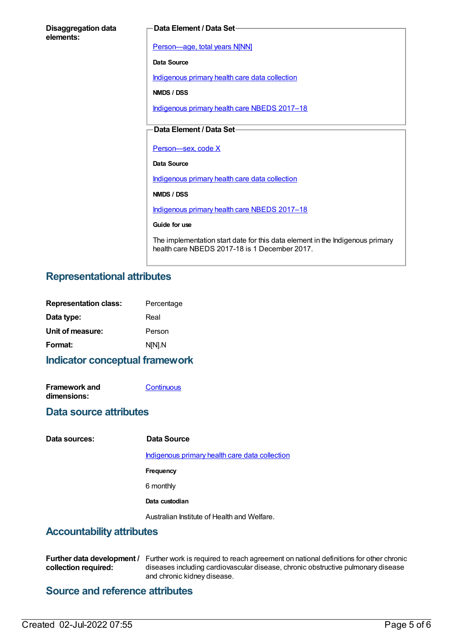| <b>Disaggregation data</b> |  |
|----------------------------|--|
| elements:                  |  |

#### **Data Element / Data Set**

[Person—age,](https://meteor.aihw.gov.au/content/303794) total years N[NN]

**Data Source**

[Indigenous](https://meteor.aihw.gov.au/content/430643) primary health care data collection

**NMDS / DSS**

[Indigenous](https://meteor.aihw.gov.au/content/686603) primary health care NBEDS 2017–18

### **Data Element / Data Set**

Person-sex, code X

**Data Source**

[Indigenous](https://meteor.aihw.gov.au/content/430643) primary health care data collection

**NMDS / DSS**

[Indigenous](https://meteor.aihw.gov.au/content/686603) primary health care NBEDS 2017–18

**Guide for use**

The implementation start date for this data element in the Indigenous primary health care NBEDS 2017-18 is 1 December 2017.

## **Representational attributes**

| <b>Representation class:</b> | Percentage |
|------------------------------|------------|
| Data type:                   | Real       |
| Unit of measure:             | Person     |
| Format:                      | N[N].N     |
|                              |            |

## **Indicator conceptual framework**

| <b>Framework and</b> | Continuous |
|----------------------|------------|
| dimensions:          |            |

## **Data source attributes**

**Data sources: Data Source**

[Indigenous](https://meteor.aihw.gov.au/content/430643) primary health care data collection

**Frequency**

6 monthly

**Data custodian**

Australian Institute of Health and Welfare.

## **Accountability attributes**

Further data development / Further work is required to reach agreement on national definitions for other chronic **collection required:** diseases including cardiovascular disease, chronic obstructive pulmonary disease and chronic kidney disease.

## **Source and reference attributes**